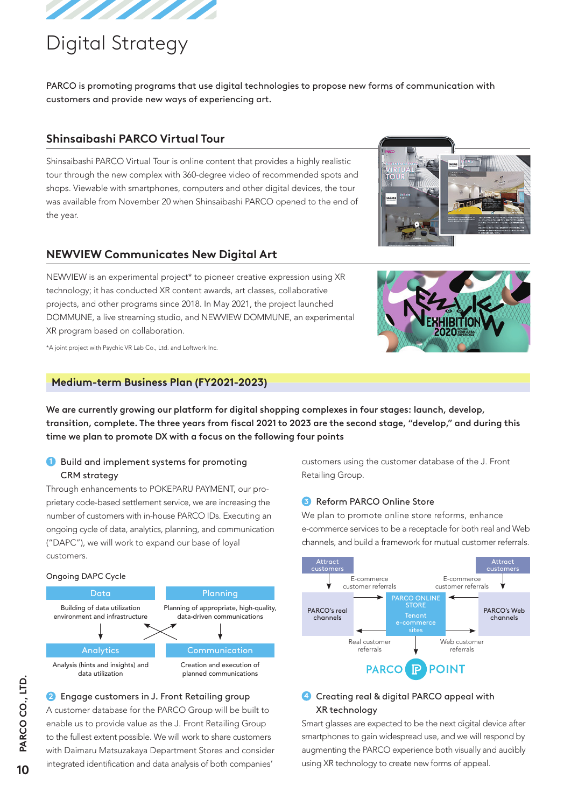

# Digital Strategy

PARCO is promoting programs that use digital technologies to propose new forms of communication with customers and provide new ways of experiencing art.

## **Shinsaibashi PARCO Virtual Tour**

Shinsaibashi PARCO Virtual Tour is online content that provides a highly realistic tour through the new complex with 360-degree video of recommended spots and shops. Viewable with smartphones, computers and other digital devices, the tour was available from November 20 when Shinsaibashi PARCO opened to the end of the year.

## **NEWVIEW Communicates New Digital Art**

NEWVIEW is an experimental project\* to pioneer creative expression using XR technology; it has conducted XR content awards, art classes, collaborative projects, and other programs since 2018. In May 2021, the project launched DOMMUNE, a live streaming studio, and NEWVIEW DOMMUNE, an experimental XR program based on collaboration.



\*A joint project with Psychic VR Lab Co., Ltd. and Loftwork Inc.

#### **Medium-term Business Plan (FY2021-2023)**

We are currently growing our platform for digital shopping complexes in four stages: launch, develop, transition, complete. The three years from fiscal 2021 to 2023 are the second stage, "develop," and during this time we plan to promote DX with a focus on the following four points

## **1** Build and implement systems for promoting CRM strategy

Through enhancements to POKEPARU PAYMENT, our proprietary code-based settlement service, we are increasing the number of customers with in-house PARCO IDs. Executing an ongoing cycle of data, analytics, planning, and communication ("DAPC"), we will work to expand our base of loyal customers.

#### Ongoing DAPC Cycle



#### **2** Engage customers in J. Front Retailing group

A customer database for the PARCO Group will be built to enable us to provide value as the J. Front Retailing Group to the fullest extent possible. We will work to share customers with Daimaru Matsuzakaya Department Stores and consider integrated identification and data analysis of both companies'

customers using the customer database of the J. Front Retailing Group.

#### **3** Reform PARCO Online Store

We plan to promote online store reforms, enhance e-commerce services to be a receptacle for both real and Web channels, and build a framework for mutual customer referrals.



## **4** Creating real & digital PARCO appeal with XR technology

Smart glasses are expected to be the next digital device after smartphones to gain widespread use, and we will respond by augmenting the PARCO experience both visually and audibly using XR technology to create new forms of appeal.

10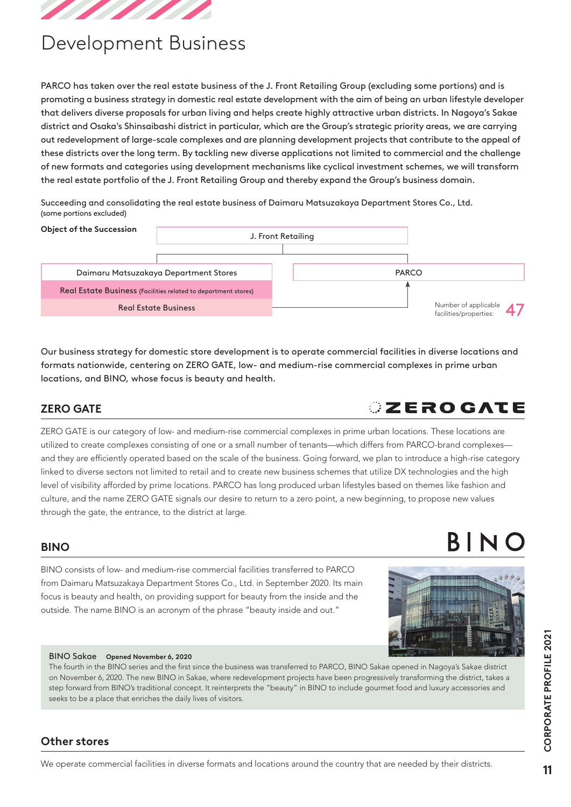

# Development Business

PARCO has taken over the real estate business of the J. Front Retailing Group (excluding some portions) and is promoting a business strategy in domestic real estate development with the aim of being an urban lifestyle developer that delivers diverse proposals for urban living and helps create highly attractive urban districts. In Nagoya's Sakae district and Osaka's Shinsaibashi district in particular, which are the Group's strategic priority areas, we are carrying out redevelopment of large-scale complexes and are planning development projects that contribute to the appeal of these districts over the long term. By tackling new diverse applications not limited to commercial and the challenge of new formats and categories using development mechanisms like cyclical investment schemes, we will transform the real estate portfolio of the J. Front Retailing Group and thereby expand the Group's business domain.

Succeeding and consolidating the real estate business of Daimaru Matsuzakaya Department Stores Co., Ltd. (some portions excluded)



Our business strategy for domestic store development is to operate commercial facilities in diverse locations and formats nationwide, centering on ZERO GATE, low- and medium-rise commercial complexes in prime urban locations, and BINO, whose focus is beauty and health.

## **ZERO GATE**

ZERO GATE is our category of low- and medium-rise commercial complexes in prime urban locations. These locations are utilized to create complexes consisting of one or a small number of tenants—which differs from PARCO-brand complexes and they are efficiently operated based on the scale of the business. Going forward, we plan to introduce a high-rise category linked to diverse sectors not limited to retail and to create new business schemes that utilize DX technologies and the high level of visibility afforded by prime locations. PARCO has long produced urban lifestyles based on themes like fashion and culture, and the name ZERO GATE signals our desire to return to a zero point, a new beginning, to propose new values through the gate, the entrance, to the district at large.

## **BINO**

BINO consists of low- and medium-rise commercial facilities transferred to PARCO from Daimaru Matsuzakaya Department Stores Co., Ltd. in September 2020. Its main focus is beauty and health, on providing support for beauty from the inside and the outside. The name BINO is an acronym of the phrase "beauty inside and out."

#### BINO Sakae **Opened November 6, 2020**

The fourth in the BINO series and the first since the business was transferred to PARCO, BINO Sakae opened in Nagoya's Sakae district on November 6, 2020. The new BINO in Sakae, where redevelopment projects have been progressively transforming the district, takes a step forward from BINO's traditional concept. It reinterprets the "beauty" in BINO to include gourmet food and luxury accessories and seeks to be a place that enriches the daily lives of visitors.

## **Other stores**

# **OZEROGATE**

# BINC

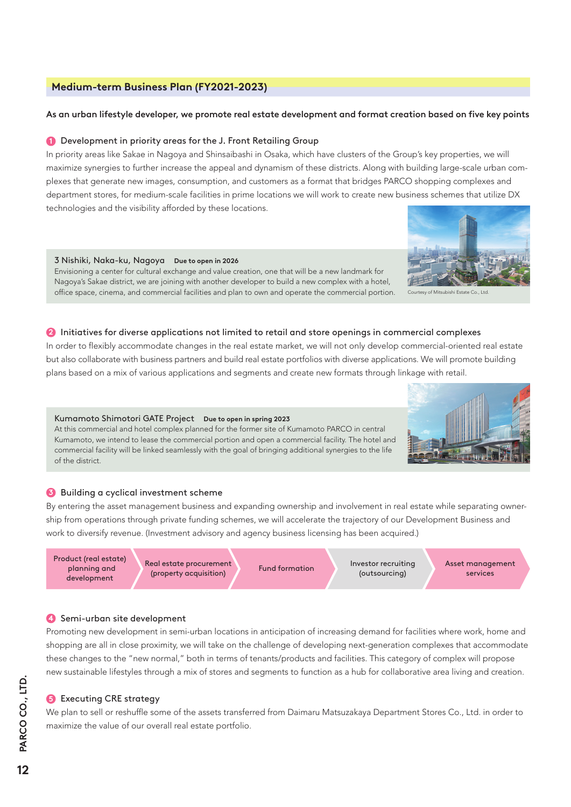#### **Medium-term Business Plan (FY2021-2023)**

#### As an urban lifestyle developer, we promote real estate development and format creation based on five key points

#### **1** Development in priority areas for the J. Front Retailing Group

In priority areas like Sakae in Nagoya and Shinsaibashi in Osaka, which have clusters of the Group's key properties, we will maximize synergies to further increase the appeal and dynamism of these districts. Along with building large-scale urban complexes that generate new images, consumption, and customers as a format that bridges PARCO shopping complexes and department stores, for medium-scale facilities in prime locations we will work to create new business schemes that utilize DX technologies and the visibility afforded by these locations.

#### 3 Nishiki, Naka-ku, Nagoya **Due to open in 2026**

Envisioning a center for cultural exchange and value creation, one that will be a new landmark for Nagoya's Sakae district, we are joining with another developer to build a new complex with a hotel, office space, cinema, and commercial facilities and plan to own and operate the commercial portion.



Courtesy of Mitsubishi Estate Co., Ltd.

#### **2** Initiatives for diverse applications not limited to retail and store openings in commercial complexes

In order to flexibly accommodate changes in the real estate market, we will not only develop commercial-oriented real estate but also collaborate with business partners and build real estate portfolios with diverse applications. We will promote building plans based on a mix of various applications and segments and create new formats through linkage with retail.

#### Kumamoto Shimotori GATE Project **Due to open in spring 2023**

At this commercial and hotel complex planned for the former site of Kumamoto PARCO in central Kumamoto, we intend to lease the commercial portion and open a commercial facility. The hotel and commercial facility will be linked seamlessly with the goal of bringing additional synergies to the life of the district.



#### **3** Building a cyclical investment scheme

By entering the asset management business and expanding ownership and involvement in real estate while separating ownership from operations through private funding schemes, we will accelerate the trajectory of our Development Business and work to diversify revenue. (Investment advisory and agency business licensing has been acquired.)

Product (real estate) planning and development

Real estate procurement Fund formation Investor recruiting<br>
(property acquisition) Fund formation (outsourcing)

(outsourcing)

Asset management services

#### **4** Semi-urban site development

Promoting new development in semi-urban locations in anticipation of increasing demand for facilities where work, home and shopping are all in close proximity, we will take on the challenge of developing next-generation complexes that accommodate these changes to the "new normal," both in terms of tenants/products and facilities. This category of complex will propose new sustainable lifestyles through a mix of stores and segments to function as a hub for collaborative area living and creation.

#### **6** Executing CRE strategy

We plan to sell or reshuffle some of the assets transferred from Daimaru Matsuzakaya Department Stores Co., Ltd. in order to maximize the value of our overall real estate portfolio.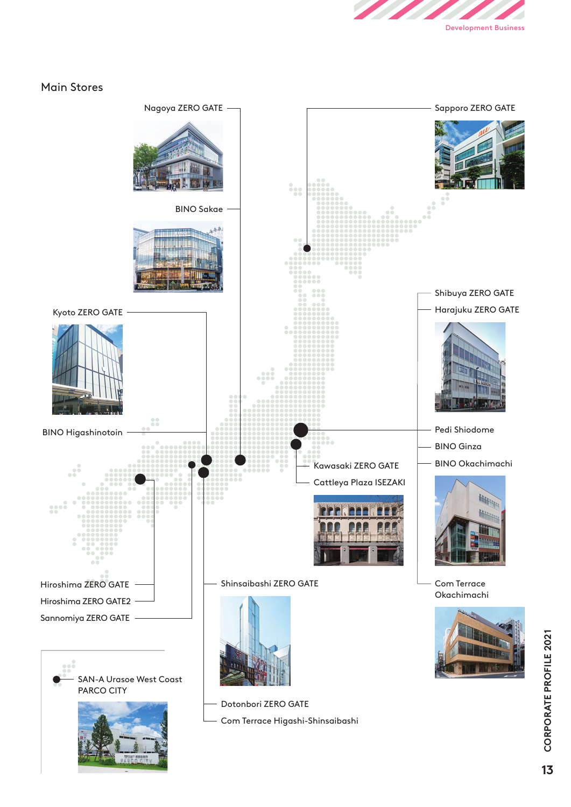

## Main Stores

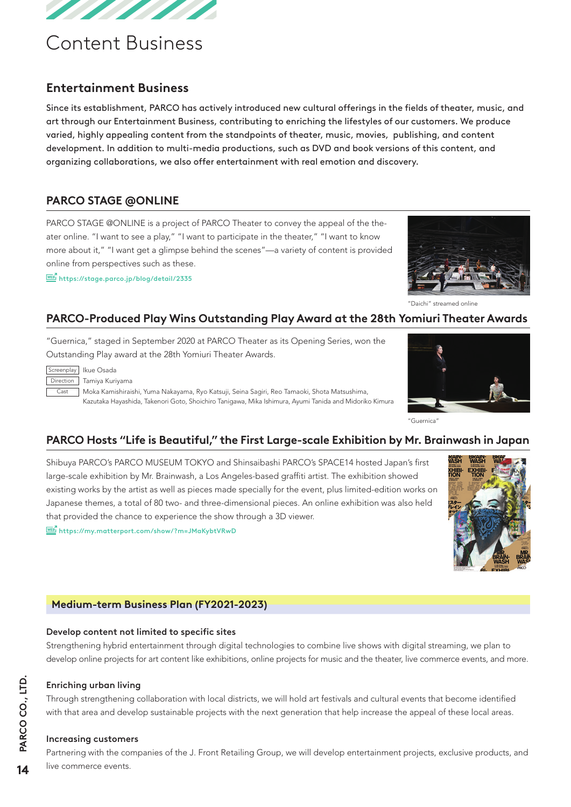

# Content Business

## **Entertainment Business**

Since its establishment, PARCO has actively introduced new cultural offerings in the fields of theater, music, and art through our Entertainment Business, contributing to enriching the lifestyles of our customers. We produce varied, highly appealing content from the standpoints of theater, music, movies, publishing, and content development. In addition to multi-media productions, such as DVD and book versions of this content, and organizing collaborations, we also offer entertainment with real emotion and discovery.

## **PARCO STAGE @ONLINE**

PARCO STAGE @ONLINE is a project of PARCO Theater to convey the appeal of the theater online. "I want to see a play," "I want to participate in the theater," "I want to know more about it," "I want get a glimpse behind the scenes"—a variety of content is provided online from perspectives such as these.

https://stage.parco.jp/blog/detail/2335



"Daichi" streamed online

## **PARCO-Produced Play Wins Outstanding Play Award at the 28th Yomiuri Theater Awards**

"Guernica," staged in September 2020 at PARCO Theater as its Opening Series, won the Outstanding Play award at the 28th Yomiuri Theater Awards.

| creenpla |  |
|----------|--|
| irection |  |
|          |  |

Screenplay Ikue Osada

Tamiya Kuriyama

 $\Box$  Moka Kamishiraishi, Yuma Nakayama, Ryo Katsuji, Seina Sagiri, Reo Tamaoki, Shota Matsushima, Kazutaka Hayashida, Takenori Goto, Shoichiro Tanigawa, Mika Ishimura, Ayumi Tanida and Midoriko Kimura



Guernica<sup>®</sup>

## **PARCO Hosts "Life is Beautiful," the First Large-scale Exhibition by Mr. Brainwash in Japan**

Shibuya PARCO's PARCO MUSEUM TOKYO and Shinsaibashi PARCO's SPACE14 hosted Japan's first large-scale exhibition by Mr. Brainwash, a Los Angeles-based graffiti artist. The exhibition showed existing works by the artist as well as pieces made specially for the event, plus limited-edition works on Japanese themes, a total of 80 two- and three-dimensional pieces. An online exhibition was also held that provided the chance to experience the show through a 3D viewer.

 $\frac{[WEB]}{WEP}$ https://my.matterport.com/show/?m=JMaKybtVRwD



## **Medium-term Business Plan (FY2021-2023)**

#### Develop content not limited to specific sites

Strengthening hybrid entertainment through digital technologies to combine live shows with digital streaming, we plan to develop online projects for art content like exhibitions, online projects for music and the theater, live commerce events, and more.

## Enriching urban living

Through strengthening collaboration with local districts, we will hold art festivals and cultural events that become identified with that area and develop sustainable projects with the next generation that help increase the appeal of these local areas.

#### Increasing customers

Partnering with the companies of the J. Front Retailing Group, we will develop entertainment projects, exclusive products, and live commerce events.